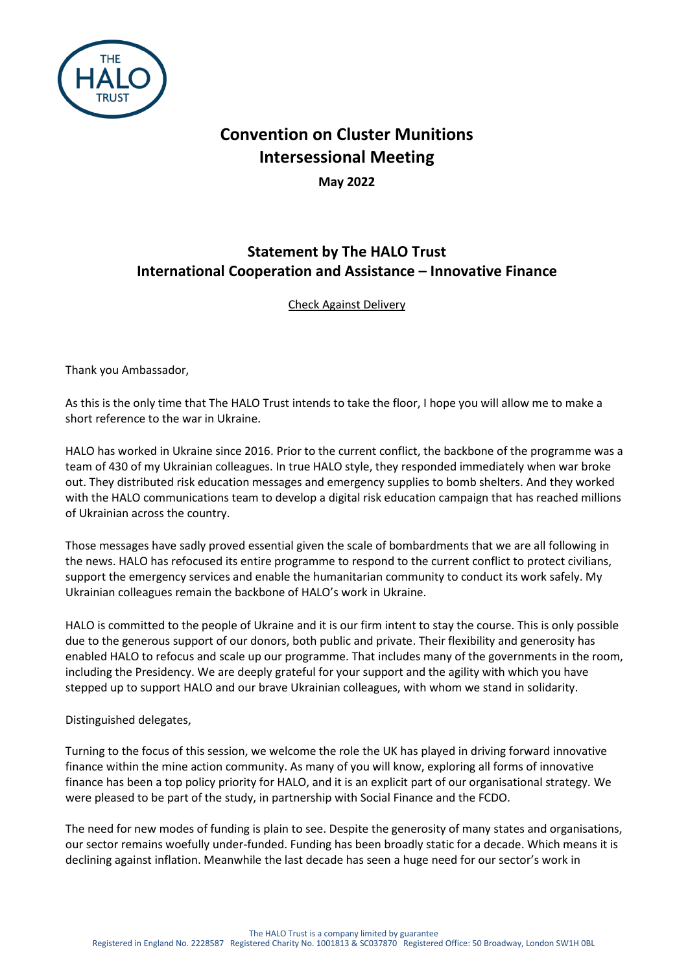

## **Convention on Cluster Munitions Intersessional Meeting**

**May 2022**

## **Statement by The HALO Trust International Cooperation and Assistance – Innovative Finance**

Check Against Delivery

Thank you Ambassador,

As this is the only time that The HALO Trust intends to take the floor, I hope you will allow me to make a short reference to the war in Ukraine.

HALO has worked in Ukraine since 2016. Prior to the current conflict, the backbone of the programme was a team of 430 of my Ukrainian colleagues. In true HALO style, they responded immediately when war broke out. They distributed risk education messages and emergency supplies to bomb shelters. And they worked with the HALO communications team to develop a digital risk education campaign that has reached millions of Ukrainian across the country.

Those messages have sadly proved essential given the scale of bombardments that we are all following in the news. HALO has refocused its entire programme to respond to the current conflict to protect civilians, support the emergency services and enable the humanitarian community to conduct its work safely. My Ukrainian colleagues remain the backbone of HALO's work in Ukraine.

HALO is committed to the people of Ukraine and it is our firm intent to stay the course. This is only possible due to the generous support of our donors, both public and private. Their flexibility and generosity has enabled HALO to refocus and scale up our programme. That includes many of the governments in the room, including the Presidency. We are deeply grateful for your support and the agility with which you have stepped up to support HALO and our brave Ukrainian colleagues, with whom we stand in solidarity.

Distinguished delegates,

Turning to the focus of this session, we welcome the role the UK has played in driving forward innovative finance within the mine action community. As many of you will know, exploring all forms of innovative finance has been a top policy priority for HALO, and it is an explicit part of our organisational strategy. We were pleased to be part of the study, in partnership with Social Finance and the FCDO.

The need for new modes of funding is plain to see. Despite the generosity of many states and organisations, our sector remains woefully under-funded. Funding has been broadly static for a decade. Which means it is declining against inflation. Meanwhile the last decade has seen a huge need for our sector's work in